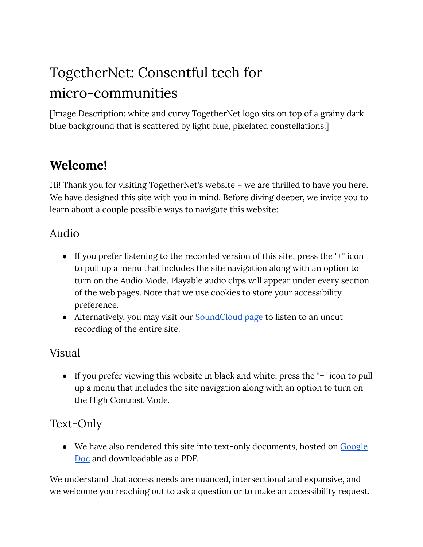# TogetherNet: Consentful tech for micro-communities

[Image Description: white and curvy TogetherNet logo sits on top of a grainy dark blue background that is scattered by light blue, pixelated constellations.]

## **Welcome!**

Hi! Thank you for visiting TogetherNet's website – we are thrilled to have you here. We have designed this site with you in mind. Before diving deeper, we invite you to learn about a couple possible ways to navigate this website:

#### Audio

- If you prefer listening to the recorded version of this site, press the "+" icon to pull up a menu that includes the site navigation along with an option to turn on the Audio Mode. Playable audio clips will appear under every section of the web pages. Note that we use cookies to store your accessibility preference.
- Alternatively, you may visit our **[SoundCloud](https://soundcloud.com/xin-xin-861764591) page to listen to an uncut** recording of the entire site.

#### Visual

● If you prefer viewing this website in black and white, press the "+" icon to pull up a menu that includes the site navigation along with an option to turn on the High Contrast Mode.

#### Text-Only

• We have also rendered this site into text-only documents, hosted on [Google](https://docs.google.com/document/d/1OS5cEJ4pCHlJe_MWzRHbakDHryMEl16idzZd68aOEvk/edit?usp=sharing) [Doc](https://docs.google.com/document/d/1OS5cEJ4pCHlJe_MWzRHbakDHryMEl16idzZd68aOEvk/edit?usp=sharing) and downloadable as a PDF.

We understand that access needs are nuanced, intersectional and expansive, and we welcome you reaching out to ask a question or to make an accessibility request.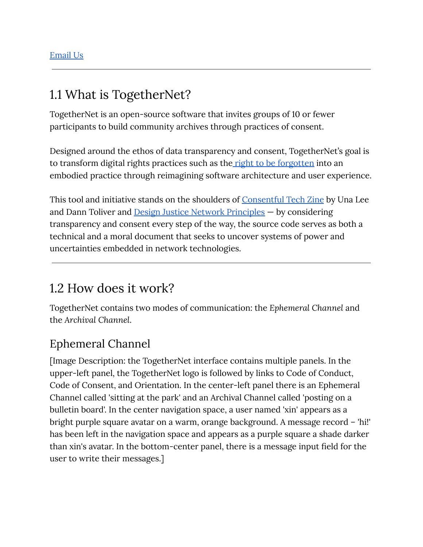# 1.1 What is TogetherNet?

TogetherNet is an open-source software that invites groups of 10 or fewer participants to build community archives through practices of consent.

Designed around the ethos of data transparency and consent, TogetherNet's goal is to transform digital rights practices such as the right to be [forgotten](https://gdpr.eu/right-to-be-forgotten/) into an embodied practice through reimagining software architecture and user experience.

This tool and initiative stands on the shoulders of [Consentful](https://togethernet.org/assets/accessibility/ConsentfulTechZineTextVersion.pdf) Tech Zine by Una Lee and Dann Toliver and Design Justice Network [Principles](https://designjustice.org/read-the-principles) — by considering transparency and consent every step of the way, the source code serves as both a technical and a moral document that seeks to uncover systems of power and uncertainties embedded in network technologies.

## 1.2 How does it work?

TogetherNet contains two modes of communication: the *Ephemeral Channel* and the *Archival Channel*.

#### Ephemeral Channel

[Image Description: the TogetherNet interface contains multiple panels. In the upper-left panel, the TogetherNet logo is followed by links to Code of Conduct, Code of Consent, and Orientation. In the center-left panel there is an Ephemeral Channel called 'sitting at the park' and an Archival Channel called 'posting on a bulletin board'. In the center navigation space, a user named 'xin' appears as a bright purple square avatar on a warm, orange background. A message record – 'hi!' has been left in the navigation space and appears as a purple square a shade darker than xin's avatar. In the bottom-center panel, there is a message input field for the user to write their messages.]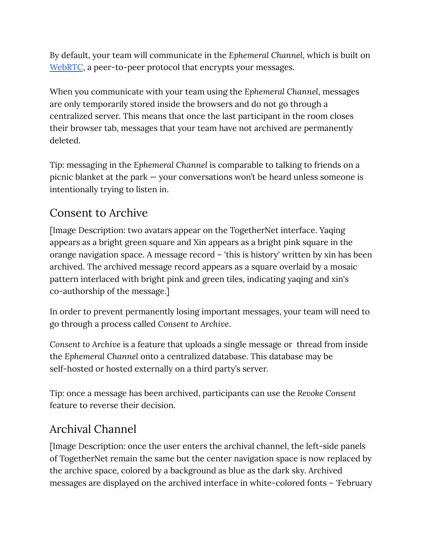By default, your team will communicate in the *Ephemeral Channel*, which is built on [WebRTC](https://en.wikipedia.org/wiki/WebRTC), a peer-to-peer protocol that encrypts your messages.

When you communicate with your team using the *Ephemeral Channel*, messages are only temporarily stored inside the browsers and do not go through a centralized server. This means that once the last participant in the room closes their browser tab, messages that your team have not archived are permanently deleted.

Tip: messaging in the *Ephemeral Channel* is comparable to talking to friends on a picnic blanket at the park — your conversations won't be heard unless someone is intentionally trying to listen in.

#### Consent to Archive

[Image Description: two avatars appear on the TogetherNet interface. Yaqing appears as a bright green square and Xin appears as a bright pink square in the orange navigation space. A message record – 'this is history' written by xin has been archived. The archived message record appears as a square overlaid by a mosaic pattern interlaced with bright pink and green tiles, indicating yaqing and xin's co-authorship of the message.]

In order to prevent permanently losing important messages, your team will need to go through a process called *Consent to Archive*.

*Consent to Archive* is a feature that uploads a single message or thread from inside the *Ephemeral Channel* onto a centralized database. This database may be self-hosted or hosted externally on a third party's server.

Tip: once a message has been archived, participants can use the *Revoke Consent* feature to reverse their decision.

## Archival Channel

[Image Description: once the user enters the archival channel, the left-side panels of TogetherNet remain the same but the center navigation space is now replaced by the archive space, colored by a background as blue as the dark sky. Archived messages are displayed on the archived interface in white-colored fonts – 'February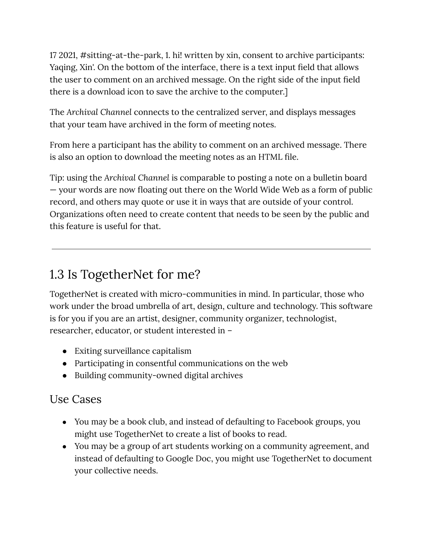17 2021, #sitting-at-the-park, 1. hi! written by xin, consent to archive participants: Yaqing, Xin'. On the bottom of the interface, there is a text input field that allows the user to comment on an archived message. On the right side of the input field there is a download icon to save the archive to the computer.]

The *Archival Channel* connects to the centralized server, and displays messages that your team have archived in the form of meeting notes.

From here a participant has the ability to comment on an archived message. There is also an option to download the meeting notes as an HTML file.

Tip: using the *Archival Channel* is comparable to posting a note on a bulletin board — your words are now floating out there on the World Wide Web as a form of public record, and others may quote or use it in ways that are outside of your control. Organizations often need to create content that needs to be seen by the public and this feature is useful for that.

# 1.3 Is TogetherNet for me?

TogetherNet is created with micro-communities in mind. In particular, those who work under the broad umbrella of art, design, culture and technology. This software is for you if you are an artist, designer, community organizer, technologist, researcher, educator, or student interested in –

- Exiting surveillance capitalism
- Participating in consentful communications on the web
- Building community-owned digital archives

#### Use Cases

- You may be a book club, and instead of defaulting to Facebook groups, you might use TogetherNet to create a list of books to read.
- You may be a group of art students working on a community agreement, and instead of defaulting to Google Doc, you might use TogetherNet to document your collective needs.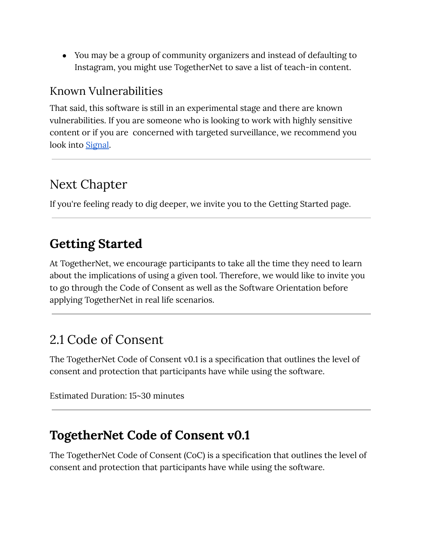● You may be a group of community organizers and instead of defaulting to Instagram, you might use TogetherNet to save a list of teach-in content.

#### Known Vulnerabilities

That said, this software is still in an experimental stage and there are known vulnerabilities. If you are someone who is looking to work with highly sensitive content or if you are concerned with targeted surveillance, we recommend you look into [Signal.](https://www.signal.org/)

# Next Chapter

If you're feeling ready to dig deeper, we invite you to the Getting Started page.

# **Getting Started**

At TogetherNet, we encourage participants to take all the time they need to learn about the implications of using a given tool. Therefore, we would like to invite you to go through the Code of Consent as well as the Software Orientation before applying TogetherNet in real life scenarios.

# 2.1 Code of Consent

The TogetherNet Code of Consent v0.1 is a specification that outlines the level of consent and protection that participants have while using the software.

Estimated Duration: 15~30 minutes

## **TogetherNet Code of Consent v0.1**

The TogetherNet Code of Consent (CoC) is a specification that outlines the level of consent and protection that participants have while using the software.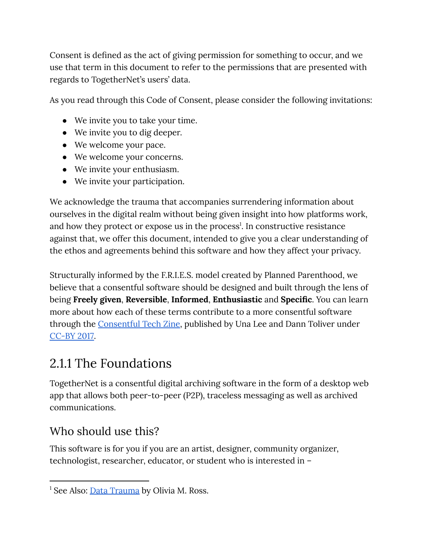Consent is defined as the act of giving permission for something to occur, and we use that term in this document to refer to the permissions that are presented with regards to TogetherNet's users' data.

As you read through this Code of Consent, please consider the following invitations:

- We invite you to take your time.
- We invite you to dig deeper.
- We welcome your pace.
- We welcome your concerns.
- We invite your enthusiasm.
- We invite your participation.

We acknowledge the trauma that accompanies surrendering information about ourselves in the digital realm without being given insight into how platforms work, and how they protect or expose us in the process 1 . In constructive resistance against that, we offer this document, intended to give you a clear understanding of the ethos and agreements behind this software and how they affect your privacy.

Structurally informed by the F.R.I.E.S. model created by Planned Parenthood, we believe that a consentful software should be designed and built through the lens of being **Freely given**, **Reversible**, **Informed**, **Enthusiastic** and **Specific**. You can learn more about how each of these terms contribute to a more consentful software through the [Consentful](https://togethernet.org/assets/accessibility/ConsentfulTechZineTextVersion.pdf) Tech Zine, published by Una Lee and Dann Toliver under [CC-BY](https://creativecommons.org/licenses/by/4.0/legalcode) 2017.

# 2.1.1 The Foundations

TogetherNet is a consentful digital archiving software in the form of a desktop web app that allows both peer-to-peer (P2P), traceless messaging as well as archived communications.

## Who should use this?

This software is for you if you are an artist, designer, community organizer, technologist, researcher, educator, or student who is interested in –

<sup>&</sup>lt;sup>1</sup> See Also: **Data [Trauma](https://www.bitchmedia.org/article/digital-doulas-fixing-data-trauma%5C)** by Olivia M. Ross.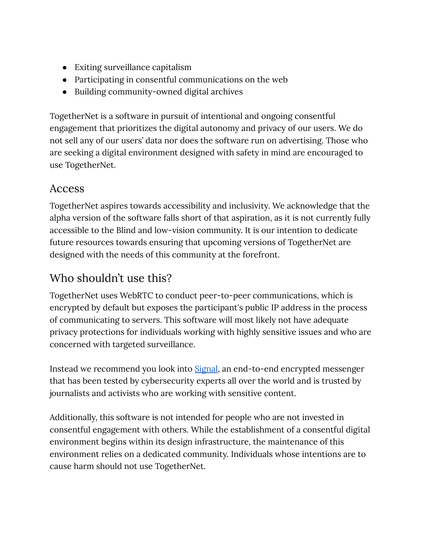- Exiting surveillance capitalism
- Participating in consentful communications on the web
- Building community-owned digital archives

TogetherNet is a software in pursuit of intentional and ongoing consentful engagement that prioritizes the digital autonomy and privacy of our users. We do not sell any of our users' data nor does the software run on advertising. Those who are seeking a digital environment designed with safety in mind are encouraged to use TogetherNet.

#### Access

TogetherNet aspires towards accessibility and inclusivity. We acknowledge that the alpha version of the software falls short of that aspiration, as it is not currently fully accessible to the Blind and low-vision community. It is our intention to dedicate future resources towards ensuring that upcoming versions of TogetherNet are designed with the needs of this community at the forefront.

#### Who shouldn't use this?

TogetherNet uses WebRTC to conduct peer-to-peer communications, which is encrypted by default but exposes the participant's public IP address in the process of communicating to servers. This software will most likely not have adequate privacy protections for individuals working with highly sensitive issues and who are concerned with targeted surveillance.

Instead we recommend you look into [Signal](https://www.signal.org/), an end-to-end encrypted messenger that has been tested by cybersecurity experts all over the world and is trusted by journalists and activists who are working with sensitive content.

Additionally, this software is not intended for people who are not invested in consentful engagement with others. While the establishment of a consentful digital environment begins within its design infrastructure, the maintenance of this environment relies on a dedicated community. Individuals whose intentions are to cause harm should not use TogetherNet.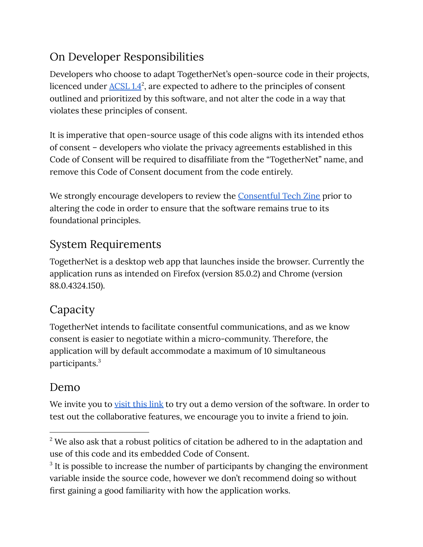## On Developer Responsibilities

Developers who choose to adapt TogetherNet's open-source code in their projects, licenced under  $\underline{\text{ACSL}}\,1.4^2$  $\underline{\text{ACSL}}\,1.4^2$  $\underline{\text{ACSL}}\,1.4^2$ , are expected to adhere to the principles of consent outlined and prioritized by this software, and not alter the code in a way that violates these principles of consent.

It is imperative that open-source usage of this code aligns with its intended ethos of consent – developers who violate the privacy agreements established in this Code of Consent will be required to disaffiliate from the "TogetherNet" name, and remove this Code of Consent document from the code entirely.

We strongly encourage developers to review the **[Consentful](https://www.andalsotoo.net/wp-content/uploads/2018/10/Building-Consentful-Tech-Zine-SPREADS.pdf) Tech Zine** prior to altering the code in order to ensure that the software remains true to its foundational principles.

## System Requirements

TogetherNet is a desktop web app that launches inside the browser. Currently the application runs as intended on Firefox (version 85.0.2) and Chrome (version 88.0.4324.150).

# Capacity

TogetherNet intends to facilitate consentful communications, and as we know consent is easier to negotiate within a micro-community. Therefore, the application will by default accommodate a maximum of 10 simultaneous participants. 3

#### Demo

We invite you to [visit](https://www.togethernet.app/) this link to try out a demo version of the software. In order to test out the collaborative features, we encourage you to invite a friend to join.

 $2$  We also ask that a robust politics of citation be adhered to in the adaptation and use of this code and its embedded Code of Consent.

 $3$  It is possible to increase the number of participants by changing the environment variable inside the source code, however we don't recommend doing so without first gaining a good familiarity with how the application works.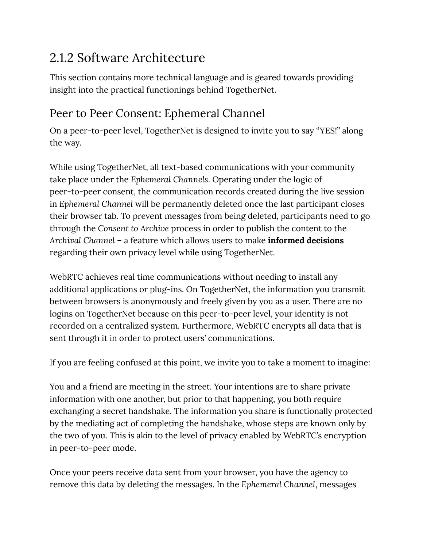# 2.1.2 Software Architecture

This section contains more technical language and is geared towards providing insight into the practical functionings behind TogetherNet.

#### Peer to Peer Consent: Ephemeral Channel

On a peer-to-peer level, TogetherNet is designed to invite you to say "YES!" along the way.

While using TogetherNet, all text-based communications with your community take place under the *Ephemeral Channels*. Operating under the logic of peer-to-peer consent, the communication records created during the live session in *Ephemeral Channel* will be permanently deleted once the last participant closes their browser tab. To prevent messages from being deleted, participants need to go through the *Consent to Archive* process in order to publish the content to the *Archival Channel* – a feature which allows users to make **informed decisions** regarding their own privacy level while using TogetherNet.

WebRTC achieves real time communications without needing to install any additional applications or plug-ins. On TogetherNet, the information you transmit between browsers is anonymously and freely given by you as a user. There are no logins on TogetherNet because on this peer-to-peer level, your identity is not recorded on a centralized system. Furthermore, WebRTC encrypts all data that is sent through it in order to protect users' communications.

If you are feeling confused at this point, we invite you to take a moment to imagine:

You and a friend are meeting in the street. Your intentions are to share private information with one another, but prior to that happening, you both require exchanging a secret handshake. The information you share is functionally protected by the mediating act of completing the handshake, whose steps are known only by the two of you. This is akin to the level of privacy enabled by WebRTC's encryption in peer-to-peer mode.

Once your peers receive data sent from your browser, you have the agency to remove this data by deleting the messages. In the *Ephemeral Channel*, messages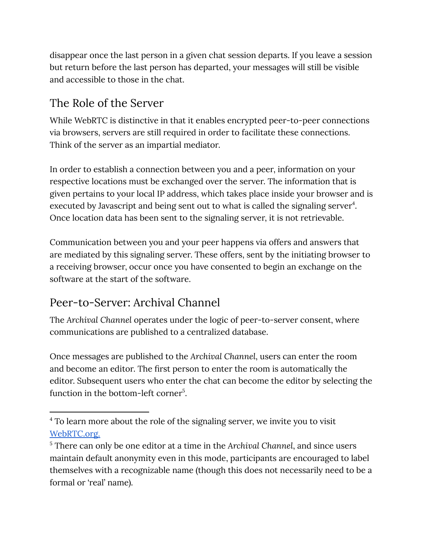disappear once the last person in a given chat session departs. If you leave a session but return before the last person has departed, your messages will still be visible and accessible to those in the chat.

#### The Role of the Server

While WebRTC is distinctive in that it enables encrypted peer-to-peer connections via browsers, servers are still required in order to facilitate these connections. Think of the server as an impartial mediator.

In order to establish a connection between you and a peer, information on your respective locations must be exchanged over the server. The information that is given pertains to your local IP address, which takes place inside your browser and is executed by Javascript and being sent out to what is called the signaling server<sup>4</sup>. Once location data has been sent to the signaling server, it is not retrievable.

Communication between you and your peer happens via offers and answers that are mediated by this signaling server. These offers, sent by the initiating browser to a receiving browser, occur once you have consented to begin an exchange on the software at the start of the software.

## Peer-to-Server: Archival Channel

The *Archival Channel* operates under the logic of peer-to-server consent, where communications are published to a centralized database.

Once messages are published to the *Archival Channel*, users can enter the room and become an editor. The first person to enter the room is automatically the editor. Subsequent users who enter the chat can become the editor by selecting the function in the bottom-left corner<sup>5</sup>.

<sup>&</sup>lt;sup>4</sup> To learn more about the role of the signaling server, we invite you to visit [WebRTC.org.](https://webrtc.org/getting-started/peer-connections)

<sup>5</sup> There can only be one editor at a time in the *Archival Channel*, and since users maintain default anonymity even in this mode, participants are encouraged to label themselves with a recognizable name (though this does not necessarily need to be a formal or 'real' name).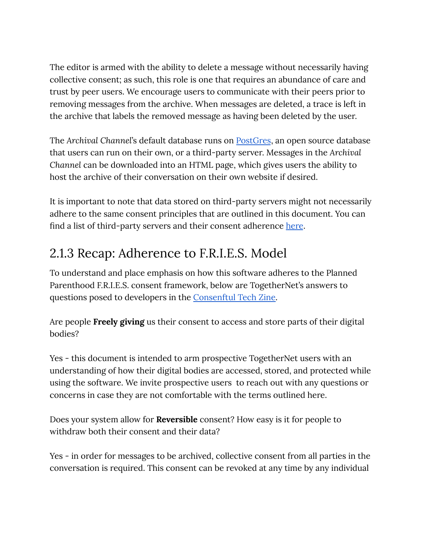The editor is armed with the ability to delete a message without necessarily having collective consent; as such, this role is one that requires an abundance of care and trust by peer users. We encourage users to communicate with their peers prior to removing messages from the archive. When messages are deleted, a trace is left in the archive that labels the removed message as having been deleted by the user.

The *Archival Channel*'s default database runs on [PostGres](https://www.postgresql.org/), an open source database that users can run on their own, or a third-party server. Messages in the *Archival Channel* can be downloaded into an HTML page, which gives users the ability to host the archive of their conversation on their own website if desired.

It is important to note that data stored on third-party servers might not necessarily adhere to the same consent principles that are outlined in this document. You can find a list of third-party servers and their consent ad[here](https://en.gendersec.train.tacticaltech.org/downloads/en/autonomous_and_ethical_hosting_providers.pdf)nce here.

# 2.1.3 Recap: Adherence to F.R.I.E.S. Model

To understand and place emphasis on how this software adheres to the Planned Parenthood F.R.I.E.S. consent framework, below are TogetherNet's answers to questions posed to developers in the [Consenftul](https://togethernet.org/assets/accessibility/ConsentfulTechZineTextVersion.pdf) Tech Zine.

Are people **Freely giving** us their consent to access and store parts of their digital bodies?

Yes - this document is intended to arm prospective TogetherNet users with an understanding of how their digital bodies are accessed, stored, and protected while using the software. We invite prospective users to reach out with any questions or concerns in case they are not comfortable with the terms outlined here.

Does your system allow for **Reversible** consent? How easy is it for people to withdraw both their consent and their data?

Yes - in order for messages to be archived, collective consent from all parties in the conversation is required. This consent can be revoked at any time by any individual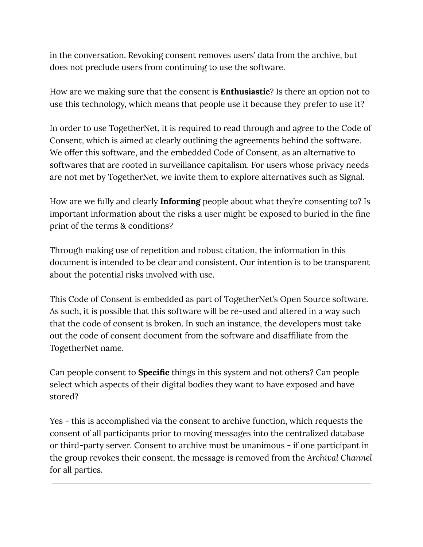in the conversation. Revoking consent removes users' data from the archive, but does not preclude users from continuing to use the software.

How are we making sure that the consent is **Enthusiastic**? Is there an option not to use this technology, which means that people use it because they prefer to use it?

In order to use TogetherNet, it is required to read through and agree to the Code of Consent, which is aimed at clearly outlining the agreements behind the software. We offer this software, and the embedded Code of Consent, as an alternative to softwares that are rooted in surveillance capitalism. For users whose privacy needs are not met by TogetherNet, we invite them to explore alternatives such as Signal.

How are we fully and clearly **Informing** people about what they're consenting to? Is important information about the risks a user might be exposed to buried in the fine print of the terms & conditions?

Through making use of repetition and robust citation, the information in this document is intended to be clear and consistent. Our intention is to be transparent about the potential risks involved with use.

This Code of Consent is embedded as part of TogetherNet's Open Source software. As such, it is possible that this software will be re-used and altered in a way such that the code of consent is broken. In such an instance, the developers must take out the code of consent document from the software and disaffiliate from the TogetherNet name.

Can people consent to **Specific** things in this system and not others? Can people select which aspects of their digital bodies they want to have exposed and have stored?

Yes - this is accomplished via the consent to archive function, which requests the consent of all participants prior to moving messages into the centralized database or third-party server. Consent to archive must be unanimous - if one participant in the group revokes their consent, the message is removed from the *Archival Channel* for all parties.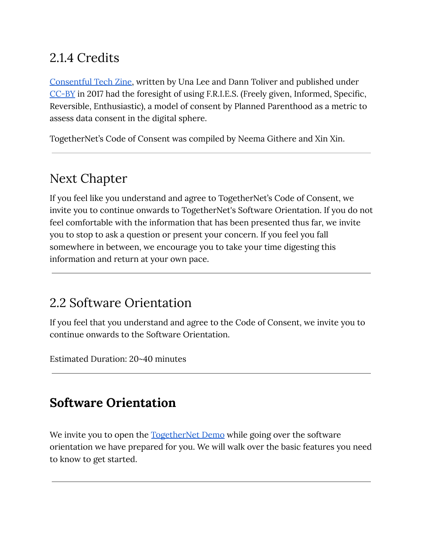# 2.1.4 Credits

[Consentful](https://togethernet.org/assets/accessibility/ConsentfulTechZineTextVersion.pdf) Tech Zine, written by Una Lee and Dann Toliver and published under [CC-BY](https://creativecommons.org/licenses/by/4.0/legalcode) in 2017 had the foresight of using F.R.I.E.S. (Freely given, Informed, Specific, Reversible, Enthusiastic), a model of consent by Planned Parenthood as a metric to assess data consent in the digital sphere.

TogetherNet's Code of Consent was compiled by Neema Githere and Xin Xin.

# Next Chapter

If you feel like you understand and agree to TogetherNet's Code of Consent, we invite you to continue onwards to TogetherNet's Software Orientation. If you do not feel comfortable with the information that has been presented thus far, we invite you to stop to ask a question or present your concern. If you feel you fall somewhere in between, we encourage you to take your time digesting this information and return at your own pace.

## 2.2 Software Orientation

If you feel that you understand and agree to the Code of Consent, we invite you to continue onwards to the Software Orientation.

Estimated Duration: 20~40 minutes

## **Software Orientation**

We invite you to open the <u>[TogetherNet](https://togethernet.herokuapp.com/) Demo</u> while going over the software orientation we have prepared for you. We will walk over the basic features you need to know to get started.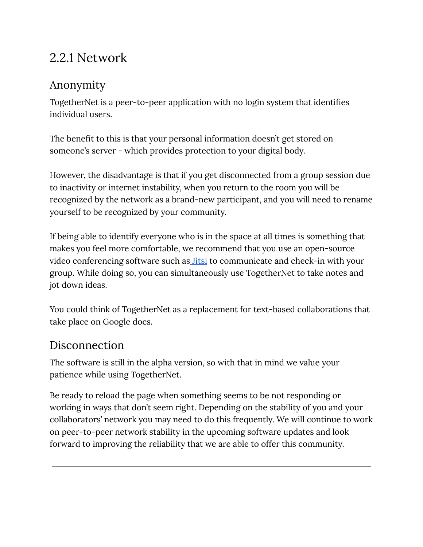## 2.2.1 Network

#### Anonymity

TogetherNet is a peer-to-peer application with no login system that identifies individual users.

The benefit to this is that your personal information doesn't get stored on someone's server - which provides protection to your digital body.

However, the disadvantage is that if you get disconnected from a group session due to inactivity or internet instability, when you return to the room you will be recognized by the network as a brand-new participant, and you will need to rename yourself to be recognized by your community.

If being able to identify everyone who is in the space at all times is something that makes you feel more comfortable, we recommend that you use an open-source video conferencing software such as *[Jitsi](https://meet.jit.si/)* to communicate and check-in with your group. While doing so, you can simultaneously use TogetherNet to take notes and jot down ideas.

You could think of TogetherNet as a replacement for text-based collaborations that take place on Google docs.

#### Disconnection

The software is still in the alpha version, so with that in mind we value your patience while using TogetherNet.

Be ready to reload the page when something seems to be not responding or working in ways that don't seem right. Depending on the stability of you and your collaborators' network you may need to do this frequently. We will continue to work on peer-to-peer network stability in the upcoming software updates and look forward to improving the reliability that we are able to offer this community.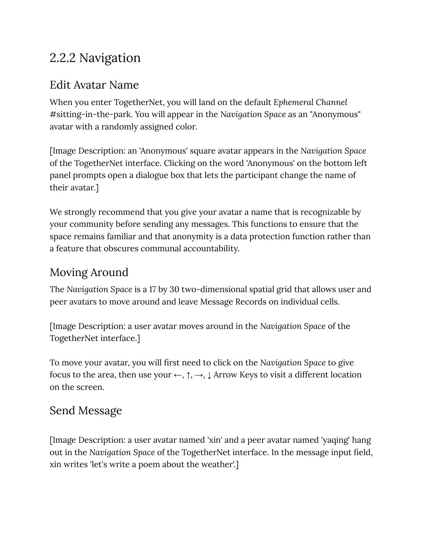## 2.2.2 Navigation

#### Edit Avatar Name

When you enter TogetherNet, you will land on the default *Ephemeral Channel* #sitting-in-the-park. You will appear in the *Navigation Space* as an "Anonymous" avatar with a randomly assigned color.

[Image Description: an 'Anonymous' square avatar appears in the *Navigation Space* of the TogetherNet interface. Clicking on the word 'Anonymous' on the bottom left panel prompts open a dialogue box that lets the participant change the name of their avatar.]

We strongly recommend that you give your avatar a name that is recognizable by your community before sending any messages. This functions to ensure that the space remains familiar and that anonymity is a data protection function rather than a feature that obscures communal accountability.

#### Moving Around

The *Navigation Space* is a 17 by 30 two-dimensional spatial grid that allows user and peer avatars to move around and leave Message Records on individual cells.

[Image Description: a user avatar moves around in the *Navigation Space* of the TogetherNet interface.]

To move your avatar, you will first need to click on the *Navigation Space* to give focus to the area, then use your  $\leftarrow$ ,  $\uparrow$ ,  $\rightarrow$ ,  $\downarrow$  Arrow Keys to visit a different location on the screen.

#### Send Message

[Image Description: a user avatar named 'xin' and a peer avatar named 'yaqing' hang out in the *Navigation Space* of the TogetherNet interface. In the message input field, xin writes 'let's write a poem about the weather'.]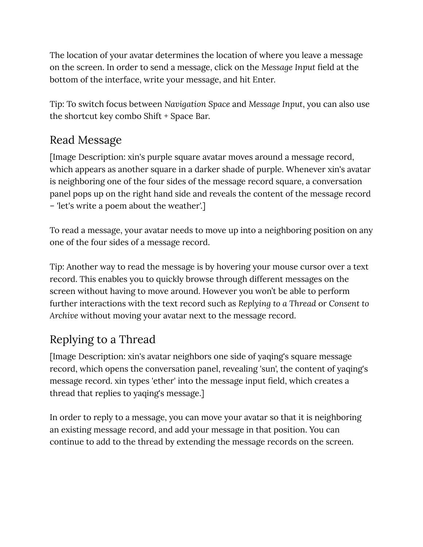The location of your avatar determines the location of where you leave a message on the screen. In order to send a message, click on the *Message Input* field at the bottom of the interface, write your message, and hit Enter.

Tip: To switch focus between *Navigation Space* and *Message Input*, you can also use the shortcut key combo Shift + Space Bar.

#### Read Message

[Image Description: xin's purple square avatar moves around a message record, which appears as another square in a darker shade of purple. Whenever xin's avatar is neighboring one of the four sides of the message record square, a conversation panel pops up on the right hand side and reveals the content of the message record – 'let's write a poem about the weather'.]

To read a message, your avatar needs to move up into a neighboring position on any one of the four sides of a message record.

Tip: Another way to read the message is by hovering your mouse cursor over a text record. This enables you to quickly browse through different messages on the screen without having to move around. However you won't be able to perform further interactions with the text record such as *Replying to a Thread* or *Consent to Archive* without moving your avatar next to the message record.

# Replying to a Thread

[Image Description: xin's avatar neighbors one side of yaqing's square message record, which opens the conversation panel, revealing 'sun', the content of yaqing's message record. xin types 'ether' into the message input field, which creates a thread that replies to yaqing's message.]

In order to reply to a message, you can move your avatar so that it is neighboring an existing message record, and add your message in that position. You can continue to add to the thread by extending the message records on the screen.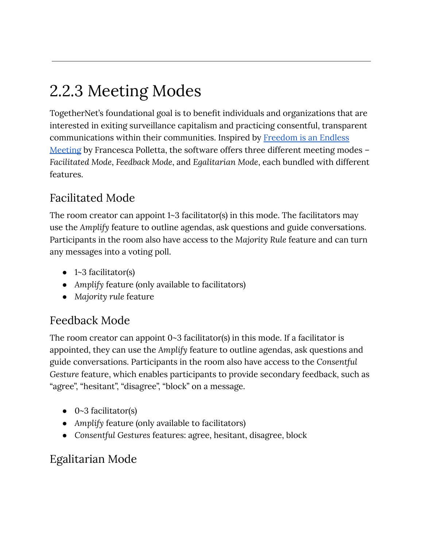# 2.2.3 Meeting Modes

TogetherNet's foundational goal is to benefit individuals and organizations that are interested in exiting surveillance capitalism and practicing consentful, transparent communications within their communities. Inspired by [Freedom](https://press.uchicago.edu/ucp/books/book/chicago/F/bo3682810.html) is an Endless [Meeting](https://press.uchicago.edu/ucp/books/book/chicago/F/bo3682810.html) by Francesca Polletta, the software offers three different meeting modes – *Facilitated Mode*, *Feedback Mode*, and *Egalitarian Mode*, each bundled with different features.

## Facilitated Mode

The room creator can appoint 1~3 facilitator(s) in this mode. The facilitators may use the *Amplify* feature to outline agendas, ask questions and guide conversations. Participants in the room also have access to the *Majority Rule* feature and can turn any messages into a voting poll.

- 1~3 facilitator(s)
- Amplify feature (only available to facilitators)
- *Majority rule* feature

#### Feedback Mode

The room creator can appoint  $0 \sim 3$  facilitator(s) in this mode. If a facilitator is appointed, they can use the *Amplify* feature to outline agendas, ask questions and guide conversations. Participants in the room also have access to the *Consentful Gesture* feature, which enables participants to provide secondary feedback, such as "agree", "hesitant", "disagree", "block" on a message.

- 0~3 facilitator(s)
- Amplify feature (only available to facilitators)
- *Consentful Gestures* features: agree, hesitant, disagree, block

## Egalitarian Mode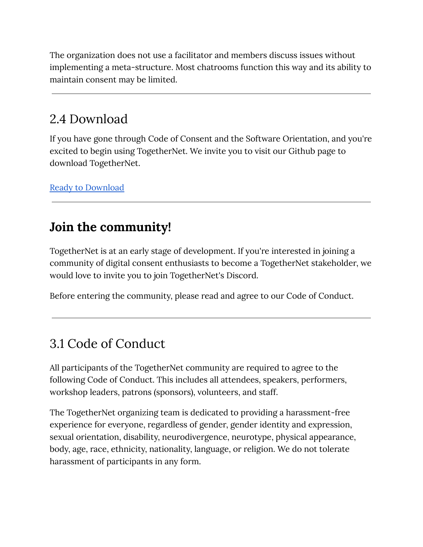The organization does not use a facilitator and members discuss issues without implementing a meta-structure. Most chatrooms function this way and its ability to maintain consent may be limited.

## 2.4 Download

If you have gone through Code of Consent and the Software Orientation, and you're excited to begin using TogetherNet. We invite you to visit our Github page to download TogetherNet.

Ready to [Download](https://github.com/together-support/togethernet)

## **Join the community!**

TogetherNet is at an early stage of development. If you're interested in joining a community of digital consent enthusiasts to become a TogetherNet stakeholder, we would love to invite you to join TogetherNet's Discord.

Before entering the community, please read and agree to our Code of Conduct.

## 3.1 Code of Conduct

All participants of the TogetherNet community are required to agree to the following Code of Conduct. This includes all attendees, speakers, performers, workshop leaders, patrons (sponsors), volunteers, and staff.

The TogetherNet organizing team is dedicated to providing a harassment-free experience for everyone, regardless of gender, gender identity and expression, sexual orientation, disability, neurodivergence, neurotype, physical appearance, body, age, race, ethnicity, nationality, language, or religion. We do not tolerate harassment of participants in any form.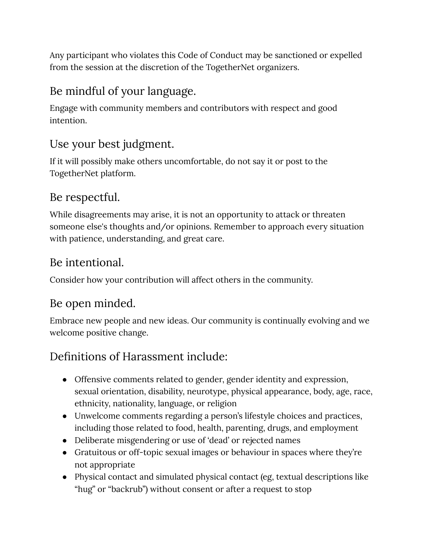Any participant who violates this Code of Conduct may be sanctioned or expelled from the session at the discretion of the TogetherNet organizers.

## Be mindful of your language.

Engage with community members and contributors with respect and good intention.

## Use your best judgment.

If it will possibly make others uncomfortable, do not say it or post to the TogetherNet platform.

#### Be respectful.

While disagreements may arise, it is not an opportunity to attack or threaten someone else's thoughts and/or opinions. Remember to approach every situation with patience, understanding, and great care.

#### Be intentional.

Consider how your contribution will affect others in the community.

#### Be open minded.

Embrace new people and new ideas. Our community is continually evolving and we welcome positive change.

## Definitions of Harassment include:

- Offensive comments related to gender, gender identity and expression, sexual orientation, disability, neurotype, physical appearance, body, age, race, ethnicity, nationality, language, or religion
- Unwelcome comments regarding a person's lifestyle choices and practices, including those related to food, health, parenting, drugs, and employment
- Deliberate misgendering or use of 'dead' or rejected names
- Gratuitous or off-topic sexual images or behaviour in spaces where they're not appropriate
- Physical contact and simulated physical contact (eg, textual descriptions like "hug" or "backrub") without consent or after a request to stop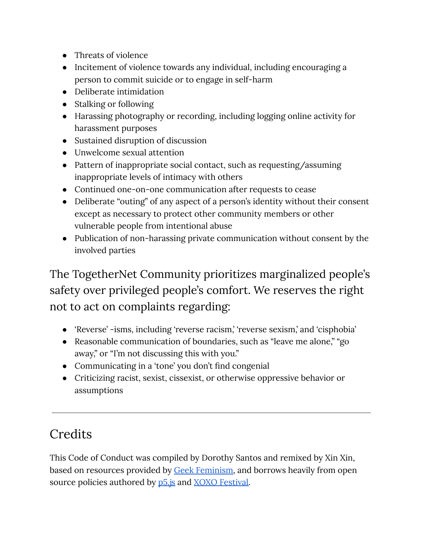- Threats of violence
- Incitement of violence towards any individual, including encouraging a person to commit suicide or to engage in self-harm
- Deliberate intimidation
- Stalking or following
- Harassing photography or recording, including logging online activity for harassment purposes
- Sustained disruption of discussion
- Unwelcome sexual attention
- Pattern of inappropriate social contact, such as requesting/assuming inappropriate levels of intimacy with others
- Continued one-on-one communication after requests to cease
- Deliberate "outing" of any aspect of a person's identity without their consent except as necessary to protect other community members or other vulnerable people from intentional abuse
- Publication of non-harassing private communication without consent by the involved parties

The TogetherNet Community prioritizes marginalized people's safety over privileged people's comfort. We reserves the right not to act on complaints regarding:

- 'Reverse' -isms, including 'reverse racism,' 'reverse sexism,' and 'cisphobia'
- Reasonable communication of boundaries, such as "leave me alone," "go away," or "I'm not discussing this with you."
- Communicating in a 'tone' you don't find congenial
- Criticizing racist, sexist, cissexist, or otherwise oppressive behavior or assumptions

## **Credits**

This Code of Conduct was compiled by Dorothy Santos and remixed by Xin Xin, based on resources provided by **Geek Feminism**, and borrows heavily from open source policies authored by  $p5$  is and XOXO [Festival.](https://2018.xoxofest.com/conduct)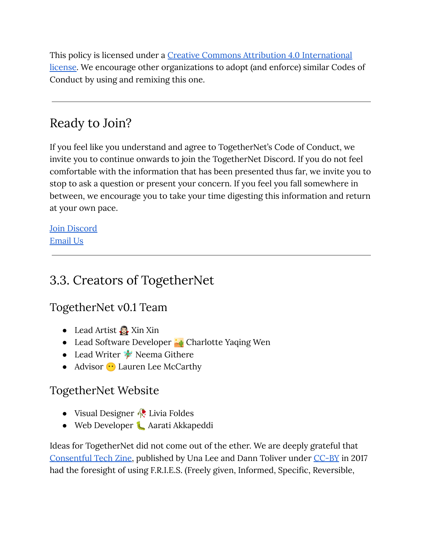This policy is licensed under a Creative Commons Attribution 4.0 [International](https://creativecommons.org/licenses/by/4.0/) [license.](https://creativecommons.org/licenses/by/4.0/) We encourage other organizations to adopt (and enforce) similar Codes of Conduct by using and remixing this one.

# Ready to Join?

If you feel like you understand and agree to TogetherNet's Code of Conduct, we invite you to continue onwards to join the TogetherNet Discord. If you do not feel comfortable with the information that has been presented thus far, we invite you to stop to ask a question or present your concern. If you feel you fall somewhere in between, we encourage you to take your time digesting this information and return at your own pace.

Join [Discord](https://discord.gg/ysJTwasuAX) [Email](mailto:support@togethernet.org) Us

## 3.3. Creators of TogetherNet

TogetherNet v0.1 Team

- Lead Artist **Q** Xin Xin
- Lead Software Developer **Al** Charlotte Yaqing Wen
- Lead Writer  $\psi$  Neema Githere
- $\bullet$  Advisor  $\bullet$  Lauren Lee McCarthy

#### TogetherNet Website

- Visual Designer *I*. Livia Foldes
- Web Developer Aarati Akkapeddi

Ideas for TogetherNet did not come out of the ether. We are deeply grateful that [Consentful](https://togethernet.org/assets/accessibility/ConsentfulTechZineTextVersion.pdf) Tech Zine, published by Una Lee and Dann Toliver under [CC-BY](https://creativecommons.org/licenses/by/4.0/legalcode) in 2017 had the foresight of using F.R.I.E.S. (Freely given, Informed, Specific, Reversible,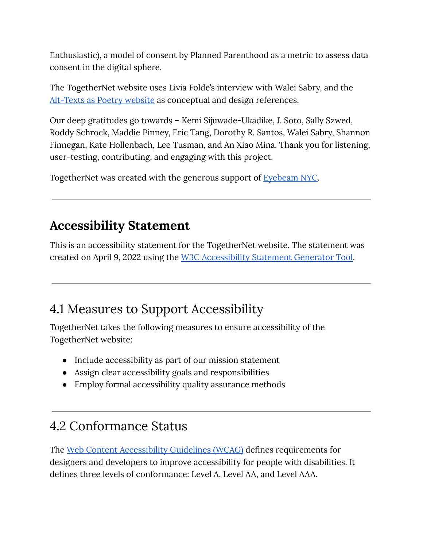Enthusiastic), a model of consent by Planned Parenthood as a metric to assess data consent in the digital sphere.

The TogetherNet website uses Livia Folde's interview with Walei Sabry, and the [Alt-Texts](https://alt-text-as-poetry.net/) as Poetry website as conceptual and design references.

Our deep gratitudes go towards – Kemi Sijuwade-Ukadike, J. Soto, Sally Szwed, Roddy Schrock, Maddie Pinney, Eric Tang, Dorothy R. Santos, Walei Sabry, Shannon Finnegan, Kate Hollenbach, Lee Tusman, and An Xiao Mina. Thank you for listening, user-testing, contributing, and engaging with this project.

TogetherNet was created with the generous support of **[Eyebeam](https://www.eyebeam.org/) NYC**.

## **Accessibility Statement**

This is an accessibility statement for the TogetherNet website. The statement was created on April 9, 2022 using the W3C [Accessibility](https://www.w3.org/WAI/planning/statements/) Statement Generator Tool.

## 4.1 Measures to Support Accessibility

TogetherNet takes the following measures to ensure accessibility of the TogetherNet website:

- Include accessibility as part of our mission statement
- Assign clear accessibility goals and responsibilities
- Employ formal accessibility quality assurance methods

## 4.2 Conformance Status

The Web Content [Accessibility](https://www.w3.org/WAI/standards-guidelines/wcag/) Guidelines (WCAG) defines requirements for designers and developers to improve accessibility for people with disabilities. It defines three levels of conformance: Level A, Level AA, and Level AAA.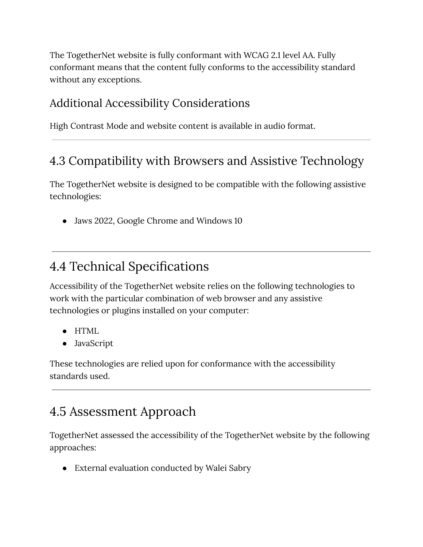The TogetherNet website is fully conformant with WCAG 2.1 level AA. Fully conformant means that the content fully conforms to the accessibility standard without any exceptions.

#### Additional Accessibility Considerations

High Contrast Mode and website content is available in audio format.

#### 4.3 Compatibility with Browsers and Assistive Technology

The TogetherNet website is designed to be compatible with the following assistive technologies:

• Jaws 2022, Google Chrome and Windows 10

## 4.4 Technical Specifications

Accessibility of the TogetherNet website relies on the following technologies to work with the particular combination of web browser and any assistive technologies or plugins installed on your computer:

- HTML
- JavaScript

These technologies are relied upon for conformance with the accessibility standards used.

# 4.5 Assessment Approach

TogetherNet assessed the accessibility of the TogetherNet website by the following approaches:

● External evaluation conducted by Walei Sabry